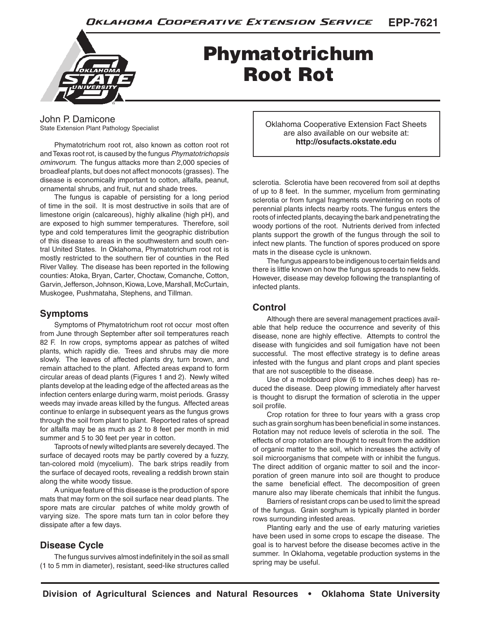

# Phymatotrichum Root Rot

John P. Damicone State Extension Plant Pathology Specialist

Phymatotrichum root rot, also known as cotton root rot and Texas root rot, is caused by the fungus *Phymatotrichopsis ominvorum*. The fungus attacks more than 2,000 species of broadleaf plants, but does not affect monocots (grasses). The disease is economically important to cotton, alfalfa, peanut, ornamental shrubs, and fruit, nut and shade trees.

The fungus is capable of persisting for a long period of time in the soil. It is most destructive in soils that are of limestone origin (calcareous), highly alkaline (high pH), and are exposed to high summer temperatures. Therefore, soil type and cold temperatures limit the geographic distribution of this disease to areas in the southwestern and south central United States. In Oklahoma, Phymatotrichum root rot is mostly restricted to the southern tier of counties in the Red River Valley. The disease has been reported in the following counties: Atoka, Bryan, Carter, Choctaw, Comanche, Cotton, Garvin, Jefferson, Johnson, Kiowa, Love, Marshall, McCurtain, Muskogee, Pushmataha, Stephens, and Tillman.

# **Symptoms**

Symptoms of Phymatotrichum root rot occur most often from June through September after soil temperatures reach 82 F. In row crops, symptoms appear as patches of wilted plants, which rapidly die. Trees and shrubs may die more slowly. The leaves of affected plants dry, turn brown, and remain attached to the plant. Affected areas expand to form circular areas of dead plants (Figures 1 and 2). Newly wilted plants develop at the leading edge of the affected areas as the infection centers enlarge during warm, moist periods. Grassy weeds may invade areas killed by the fungus. Affected areas continue to enlarge in subsequent years as the fungus grows through the soil from plant to plant. Reported rates of spread for alfalfa may be as much as 2 to 8 feet per month in mid summer and 5 to 30 feet per year in cotton.

Taproots of newly wilted plants are severely decayed. The surface of decayed roots may be partly covered by a fuzzy, tan-colored mold (mycelium). The bark strips readily from the surface of decayed roots, revealing a reddish brown stain along the white woody tissue.

A unique feature of this disease is the production of spore mats that may form on the soil surface near dead plants. The spore mats are circular patches of white moldy growth of varying size. The spore mats turn tan in color before they dissipate after a few days.

# **Disease Cycle**

The fungus survives almost indefinitely in the soil as small (1 to 5 mm in diameter), resistant, seed-like structures called Oklahoma Cooperative Extension Fact Sheets are also available on our website at: **http://osufacts.okstate.edu**

sclerotia. Sclerotia have been recovered from soil at depths of up to 8 feet. In the summer, mycelium from germinating sclerotia or from fungal fragments overwintering on roots of perennial plants infects nearby roots. The fungus enters the roots of infected plants, decaying the bark and penetrating the woody portions of the root. Nutrients derived from infected plants support the growth of the fungus through the soil to infect new plants. The function of spores produced on spore mats in the disease cycle is unknown.

The fungus appears to be indigenous to certain fields and there is little known on how the fungus spreads to new fields. However, disease may develop following the transplanting of infected plants.

# **Control**

Although there are several management practices available that help reduce the occurrence and severity of this disease, none are highly effective. Attempts to control the disease with fungicides and soil fumigation have not been successful. The most effective strategy is to define areas infested with the fungus and plant crops and plant species that are not susceptible to the disease.

Use of a moldboard plow (6 to 8 inches deep) has reduced the disease. Deep plowing immediately after harvest is thought to disrupt the formation of sclerotia in the upper soil profile.

Crop rotation for three to four years with a grass crop such as grain sorghum has been beneficial in some instances. Rotation may not reduce levels of sclerotia in the soil. The effects of crop rotation are thought to result from the addition of organic matter to the soil, which increases the activity of soil microorganisms that compete with or inhibit the fungus. The direct addition of organic matter to soil and the incorporation of green manure into soil are thought to produce the same beneficial effect. The decomposition of green manure also may liberate chemicals that inhibit the fungus.

Barriers of resistant crops can be used to limit the spread of the fungus. Grain sorghum is typically planted in border rows surrounding infested areas.

Planting early and the use of early maturing varieties have been used in some crops to escape the disease. The goal is to harvest before the disease becomes active in the summer. In Oklahoma, vegetable production systems in the spring may be useful.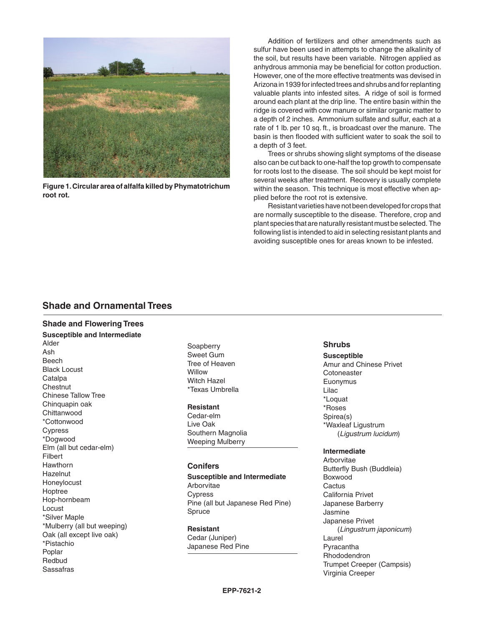

**Figure 1. Circular area of alfalfa killed by Phymatotrichum root rot.**

Addition of fertilizers and other amendments such as sulfur have been used in attempts to change the alkalinity of the soil, but results have been variable. Nitrogen applied as anhydrous ammonia may be beneficial for cotton production. However, one of the more effective treatments was devised in Arizona in 1939 for infected trees and shrubs and for replanting valuable plants into infested sites. A ridge of soil is formed around each plant at the drip line. The entire basin within the ridge is covered with cow manure or similar organic matter to a depth of 2 inches. Ammonium sulfate and sulfur, each at a rate of 1 lb. per 10 sq. ft., is broadcast over the manure. The basin is then flooded with sufficient water to soak the soil to a depth of 3 feet.

Trees or shrubs showing slight symptoms of the disease also can be cut back to one-half the top growth to compensate for roots lost to the disease. The soil should be kept moist for several weeks after treatment. Recovery is usually complete within the season. This technique is most effective when applied before the root rot is extensive.

Resistant varieties have not been developed for crops that are normally susceptible to the disease. Therefore, crop and plant species that are naturally resistant must be selected. The following list is intended to aid in selecting resistant plants and avoiding susceptible ones for areas known to be infested.

# **Shade and Ornamental Trees**

# **Shade and Flowering Trees**

**Susceptible and Intermediate** Alder Ash Beech Black Locust **Catalpa Chestnut** Chinese Tallow Tree Chinquapin oak **Chittanwood** \*Cottonwood Cypress \*Dogwood Elm (all but cedar-elm) Filbert Hawthorn **Hazelnut** Honeylocust Hoptree Hop-hornbeam Locust \*Silver Maple \*Mulberry (all but weeping) Oak (all except live oak) \*Pistachio Poplar Redbud Sassafras

Soapberry Sweet Gum Tree of Heaven **Willow** Witch Hazel \*Texas Umbrella

#### **Resistant**

Cedar-elm Live Oak Southern Magnolia Weeping Mulberry

# **Conifers**

**Susceptible and Intermediate** Arborvitae Cypress Pine (all but Japanese Red Pine) Spruce

**Resistant** Cedar (Juniper) Japanese Red Pine

#### **Shrubs**

**Susceptible** Amur and Chinese Privet **Cotoneaster** Euonymus Lilac \*Loquat \*Roses Spirea(s) \*Waxleaf Ligustrum (*Ligustrum lucidum*)

#### **Intermediate**

Arborvitae Butterfly Bush (Buddleia) Boxwood **Cactus** California Privet Japanese Barberry Jasmine Japanese Privet (*Lingustrum japonicum*) Laurel Pyracantha Rhododendron Trumpet Creeper (Campsis) Virginia Creeper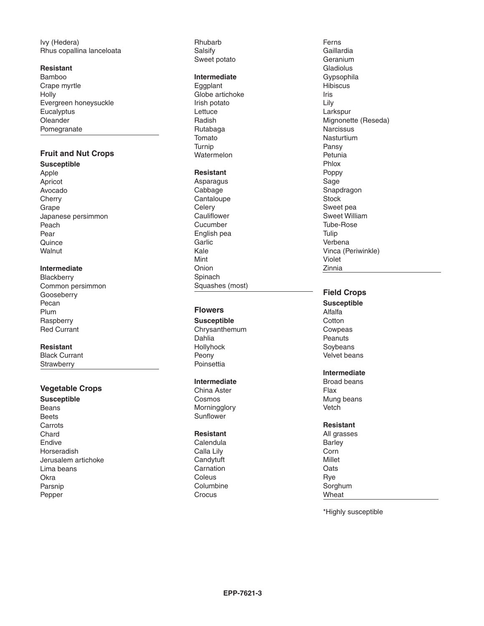Ivy (Hedera) Rhus copallina lanceloata

### **Resistant**

Bamboo Crape myrtle Holly Evergreen honeysuckle **Eucalyptus** Oleander Pomegranate

# **Fruit and Nut Crops**

**Susceptible**

Apple Apricot Avocado **Cherry** Grape Japanese persimmon Peach Pear **Quince Walnut** 

# **Intermediate**

**Blackberry** Common persimmon Gooseberry Pecan Plum **Raspberry** Red Currant

### **Resistant**

Black Currant **Strawberry** 

# **Vegetable Crops**

**Susceptible** Beans Beets **Carrots** Chard Endive Horseradish Jerusalem artichoke Lima beans **Okra** Parsnip Pepper

Rhubarb Salsify Sweet potato

### **Intermediate**

**Eggplant** Globe artichoke Irish potato Lettuce Radish Rutabaga Tomato Turnip Watermelon

# **Resistant**

Asparagus Cabbage **Cantaloupe Celery Cauliflower** Cucumber English pea **Garlic** Kale Mint Onion Spinach Squashes (most)

# **Flowers**

**Susceptible** Chrysanthemum Dahlia Hollyhock Peony **Poinsettia** 

#### **Intermediate**

China Aster Cosmos Morningglory Sunflower

#### **Resistant**

Calendula Calla Lily **Candytuft** Carnation Coleus Columbine **Crocus** 

Ferns Gaillardia Geranium Gladiolus Gypsophila **Hibiscus** Iris Lily Larkspur Mignonette (Reseda) **Narcissus** Nasturtium Pansy Petunia Phlox Poppy Sage Snapdragon **Stock** Sweet pea Sweet William Tube-Rose Tulip Verbena Vinca (Periwinkle) Violet Zinnia

# **Field Crops**

- **Susceptible** Alfalfa **Cotton** Cowpeas **Peanuts Soybeans** Velvet beans
- **Intermediate**
- Broad beans Flax Mung beans **Vetch**

# **Resistant**

All grasses Barley Corn Millet **Oats** Rye Sorghum Wheat

\*Highly susceptible